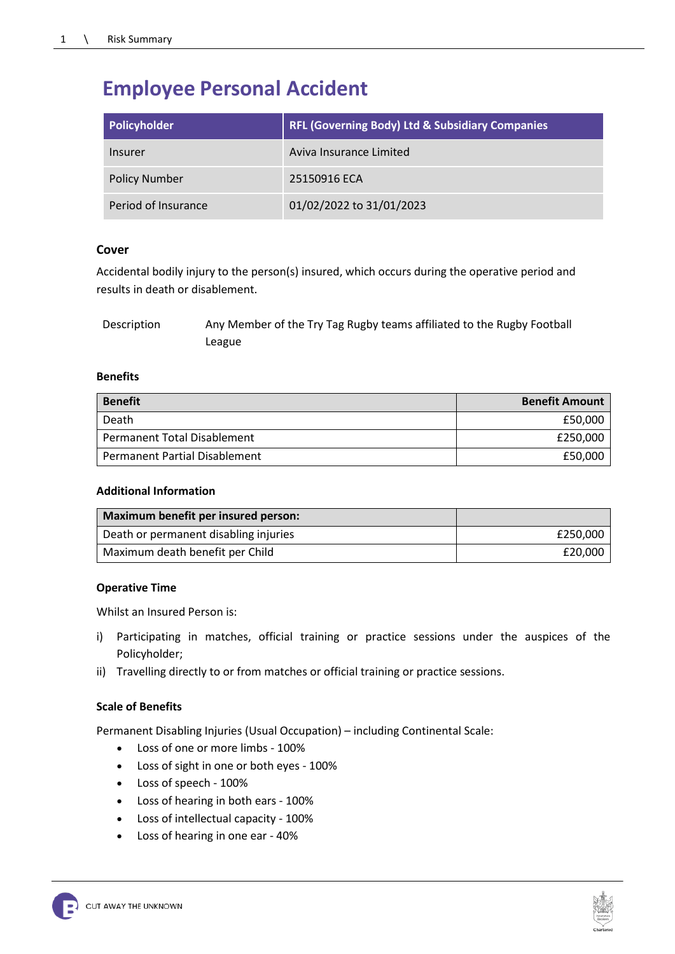# **Employee Personal Accident**

| Policyholder         | <b>RFL (Governing Body) Ltd &amp; Subsidiary Companies</b> |
|----------------------|------------------------------------------------------------|
| Insurer              | Aviva Insurance Limited                                    |
| <b>Policy Number</b> | 25150916 ECA                                               |
| Period of Insurance  | 01/02/2022 to 31/01/2023                                   |

## **Cover**

Accidental bodily injury to the person(s) insured, which occurs during the operative period and results in death or disablement.

| Description | Any Member of the Try Tag Rugby teams affiliated to the Rugby Football |
|-------------|------------------------------------------------------------------------|
|             | League                                                                 |

#### **Benefits**

| <b>Benefit</b>                | <b>Benefit Amount</b> |
|-------------------------------|-----------------------|
| Death                         | £50,000               |
| Permanent Total Disablement   | £250,000              |
| Permanent Partial Disablement | £50,000               |

### **Additional Information**

| Maximum benefit per insured person:   |          |
|---------------------------------------|----------|
| Death or permanent disabling injuries | £250.000 |
| Maximum death benefit per Child       | £20,000  |

#### **Operative Time**

Whilst an Insured Person is:

- i) Participating in matches, official training or practice sessions under the auspices of the Policyholder;
- ii) Travelling directly to or from matches or official training or practice sessions.

## **Scale of Benefits**

Permanent Disabling Injuries (Usual Occupation) – including Continental Scale:

- Loss of one or more limbs 100%
- Loss of sight in one or both eyes 100%
- Loss of speech 100%
- Loss of hearing in both ears 100%
- Loss of intellectual capacity 100%
- Loss of hearing in one ear 40%